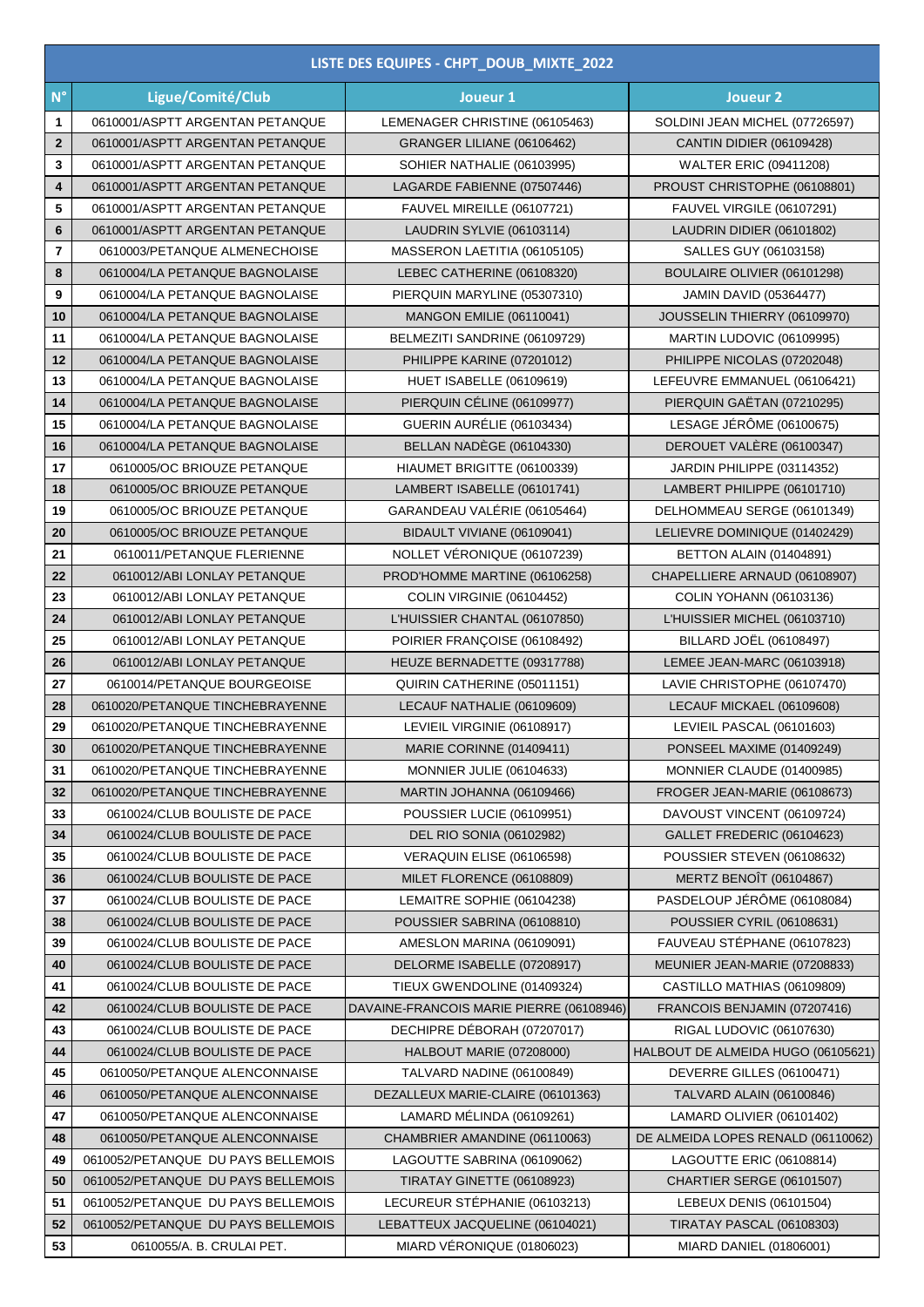|                         | LISTE DES EQUIPES - CHPT_DOUB_MIXTE_2022 |                                          |                                    |  |  |
|-------------------------|------------------------------------------|------------------------------------------|------------------------------------|--|--|
| $N^{\circ}$             | Ligue/Comité/Club                        | Joueur 1                                 | Joueur <sub>2</sub>                |  |  |
| 1                       | 0610001/ASPTT ARGENTAN PETANQUE          | LEMENAGER CHRISTINE (06105463)           | SOLDINI JEAN MICHEL (07726597)     |  |  |
| $\mathbf{2}$            | 0610001/ASPTT ARGENTAN PETANQUE          | GRANGER LILIANE (06106462)               | <b>CANTIN DIDIER (06109428)</b>    |  |  |
| 3                       | 0610001/ASPTT ARGENTAN PETANQUE          | SOHIER NATHALIE (06103995)               | <b>WALTER ERIC (09411208)</b>      |  |  |
| 4                       | 0610001/ASPTT ARGENTAN PETANQUE          | LAGARDE FABIENNE (07507446)              | PROUST CHRISTOPHE (06108801)       |  |  |
| 5                       | 0610001/ASPTT ARGENTAN PETANQUE          | FAUVEL MIREILLE (06107721)               | FAUVEL VIRGILE (06107291)          |  |  |
| 6                       | 0610001/ASPTT ARGENTAN PETANQUE          | LAUDRIN SYLVIE (06103114)                | LAUDRIN DIDIER (06101802)          |  |  |
| $\overline{\mathbf{r}}$ | 0610003/PETANQUE ALMENECHOISE            | MASSERON LAETITIA (06105105)             | SALLES GUY (06103158)              |  |  |
| 8                       | 0610004/LA PETANQUE BAGNOLAISE           | LEBEC CATHERINE (06108320)               | BOULAIRE OLIVIER (06101298)        |  |  |
| 9                       | 0610004/LA PETANQUE BAGNOLAISE           | PIERQUIN MARYLINE (05307310)             | <b>JAMIN DAVID (05364477)</b>      |  |  |
| 10                      | 0610004/LA PETANQUE BAGNOLAISE           | MANGON EMILIE (06110041)                 | JOUSSELIN THIERRY (06109970)       |  |  |
| 11                      | 0610004/LA PETANQUE BAGNOLAISE           | BELMEZITI SANDRINE (06109729)            | MARTIN LUDOVIC (06109995)          |  |  |
| 12                      | 0610004/LA PETANQUE BAGNOLAISE           | PHILIPPE KARINE (07201012)               | PHILIPPE NICOLAS (07202048)        |  |  |
| 13                      | 0610004/LA PETANQUE BAGNOLAISE           | <b>HUET ISABELLE (06109619)</b>          | LEFEUVRE EMMANUEL (06106421)       |  |  |
| 14                      | 0610004/LA PETANQUE BAGNOLAISE           | PIERQUIN CÉLINE (06109977)               | PIERQUIN GAËTAN (07210295)         |  |  |
| 15                      | 0610004/LA PETANQUE BAGNOLAISE           | GUERIN AURÉLIE (06103434)                | LESAGE JÉRÔME (06100675)           |  |  |
| 16                      | 0610004/LA PETANQUE BAGNOLAISE           | <b>BELLAN NADÈGE (06104330)</b>          | DEROUET VALÈRE (06100347)          |  |  |
| 17                      | 0610005/OC BRIOUZE PETANQUE              | HIAUMET BRIGITTE (06100339)              | JARDIN PHILIPPE (03114352)         |  |  |
| 18                      | 0610005/OC BRIOUZE PETANQUE              | LAMBERT ISABELLE (06101741)              | LAMBERT PHILIPPE (06101710)        |  |  |
| 19                      | 0610005/OC BRIOUZE PETANQUE              | GARANDEAU VALÉRIE (06105464)             | DELHOMMEAU SERGE (06101349)        |  |  |
| 20                      | 0610005/OC BRIOUZE PETANQUE              | BIDAULT VIVIANE (06109041)               | LELIEVRE DOMINIQUE (01402429)      |  |  |
| 21                      | 0610011/PETANQUE FLERIENNE               | NOLLET VÉRONIQUE (06107239)              | <b>BETTON ALAIN (01404891)</b>     |  |  |
| 22                      | 0610012/ABI LONLAY PETANQUE              | PROD'HOMME MARTINE (06106258)            | CHAPELLIERE ARNAUD (06108907)      |  |  |
| 23                      | 0610012/ABI LONLAY PETANQUE              | COLIN VIRGINIE (06104452)                | COLIN YOHANN (06103136)            |  |  |
| 24                      | 0610012/ABI LONLAY PETANQUE              | L'HUISSIER CHANTAL (06107850)            | L'HUISSIER MICHEL (06103710)       |  |  |
| 25                      | 0610012/ABI LONLAY PETANQUE              | POIRIER FRANÇOISE (06108492)             | BILLARD JOËL (06108497)            |  |  |
| 26                      | 0610012/ABI LONLAY PETANQUE              | HEUZE BERNADETTE (09317788)              | LEMEE JEAN-MARC (06103918)         |  |  |
| 27                      | 0610014/PETANQUE BOURGEOISE              | QUIRIN CATHERINE (05011151)              | LAVIE CHRISTOPHE (06107470)        |  |  |
| 28                      | 0610020/PETANQUE TINCHEBRAYENNE          | LECAUF NATHALIE (06109609)               | LECAUF MICKAEL (06109608)          |  |  |
| 29                      | 0610020/PETANQUE TINCHEBRAYENNE          | LEVIEIL VIRGINIE (06108917)              | LEVIEIL PASCAL (06101603)          |  |  |
| 30                      | 0610020/PETANQUE TINCHEBRAYENNE          | MARIE CORINNE (01409411)                 | PONSEEL MAXIME (01409249)          |  |  |
| 31                      | 0610020/PETANQUE TINCHEBRAYENNE          | <b>MONNIER JULIE (06104633)</b>          | MONNIER CLAUDE (01400985)          |  |  |
| 32                      | 0610020/PETANQUE TINCHEBRAYENNE          | MARTIN JOHANNA (06109466)                | FROGER JEAN-MARIE (06108673)       |  |  |
| 33                      | 0610024/CLUB BOULISTE DE PACE            | <b>POUSSIER LUCIE (06109951)</b>         | DAVOUST VINCENT (06109724)         |  |  |
| 34                      | 0610024/CLUB BOULISTE DE PACE            | <b>DEL RIO SONIA (06102982)</b>          | GALLET FREDERIC (06104623)         |  |  |
| 35                      | 0610024/CLUB BOULISTE DE PACE            | VERAQUIN ELISE (06106598)                | POUSSIER STEVEN (06108632)         |  |  |
| 36                      | 0610024/CLUB BOULISTE DE PACE            | MILET FLORENCE (06108809)                | <b>MERTZ BENOIT (06104867)</b>     |  |  |
| 37                      | 0610024/CLUB BOULISTE DE PACE            | LEMAITRE SOPHIE (06104238)               | PASDELOUP JÉRÔME (06108084)        |  |  |
| 38                      | 0610024/CLUB BOULISTE DE PACE            | POUSSIER SABRINA (06108810)              | <b>POUSSIER CYRIL (06108631)</b>   |  |  |
| 39                      | 0610024/CLUB BOULISTE DE PACE            | AMESLON MARINA (06109091)                | FAUVEAU STÉPHANE (06107823)        |  |  |
| 40                      | 0610024/CLUB BOULISTE DE PACE            | DELORME ISABELLE (07208917)              | MEUNIER JEAN-MARIE (07208833)      |  |  |
| 41                      | 0610024/CLUB BOULISTE DE PACE            | TIEUX GWENDOLINE (01409324)              | CASTILLO MATHIAS (06109809)        |  |  |
| 42                      | 0610024/CLUB BOULISTE DE PACE            | DAVAINE-FRANCOIS MARIE PIERRE (06108946) | FRANCOIS BENJAMIN (07207416)       |  |  |
| 43                      | 0610024/CLUB BOULISTE DE PACE            | DECHIPRE DÉBORAH (07207017)              | RIGAL LUDOVIC (06107630)           |  |  |
| 44                      | 0610024/CLUB BOULISTE DE PACE            | HALBOUT MARIE (07208000)                 | HALBOUT DE ALMEIDA HUGO (06105621) |  |  |
| 45                      | 0610050/PETANQUE ALENCONNAISE            | TALVARD NADINE (06100849)                | DEVERRE GILLES (06100471)          |  |  |
| 46                      | 0610050/PETANQUE ALENCONNAISE            | DEZALLEUX MARIE-CLAIRE (06101363)        | TALVARD ALAIN (06100846)           |  |  |
| 47                      | 0610050/PETANQUE ALENCONNAISE            | LAMARD MÉLINDA (06109261)                | LAMARD OLIVIER (06101402)          |  |  |
| 48                      | 0610050/PETANQUE ALENCONNAISE            | CHAMBRIER AMANDINE (06110063)            | DE ALMEIDA LOPES RENALD (06110062) |  |  |
| 49                      | 0610052/PETANQUE DU PAYS BELLEMOIS       | LAGOUTTE SABRINA (06109062)              | LAGOUTTE ERIC (06108814)           |  |  |
| 50                      | 0610052/PETANQUE DU PAYS BELLEMOIS       | TIRATAY GINETTE (06108923)               | CHARTIER SERGE (06101507)          |  |  |
| 51                      | 0610052/PETANQUE DU PAYS BELLEMOIS       | LECUREUR STÉPHANIE (06103213)            | LEBEUX DENIS (06101504)            |  |  |
| 52                      | 0610052/PETANQUE DU PAYS BELLEMOIS       | LEBATTEUX JACQUELINE (06104021)          | TIRATAY PASCAL (06108303)          |  |  |
| 53                      | 0610055/A. B. CRULAI PET.                | MIARD VÉRONIQUE (01806023)               | MIARD DANIEL (01806001)            |  |  |
|                         |                                          |                                          |                                    |  |  |